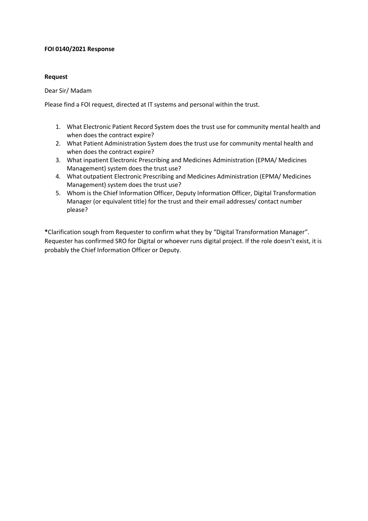## **FOI 0140/2021 Response**

## **Request**

Dear Sir/ Madam

Please find a FOI request, directed at IT systems and personal within the trust.

- 1. What Electronic Patient Record System does the trust use for community mental health and when does the contract expire?
- 2. What Patient Administration System does the trust use for community mental health and when does the contract expire?
- 3. What inpatient Electronic Prescribing and Medicines Administration (EPMA/ Medicines Management) system does the trust use?
- 4. What outpatient Electronic Prescribing and Medicines Administration (EPMA/ Medicines Management) system does the trust use?
- 5. Whom is the Chief Information Officer, Deputy Information Officer, Digital Transformation Manager (or equivalent title) for the trust and their email addresses/ contact number please?

**\***Clarification sough from Requester to confirm what they by "Digital Transformation Manager". Requester has confirmed SRO for Digital or whoever runs digital project. If the role doesn't exist, it is probably the Chief Information Officer or Deputy.